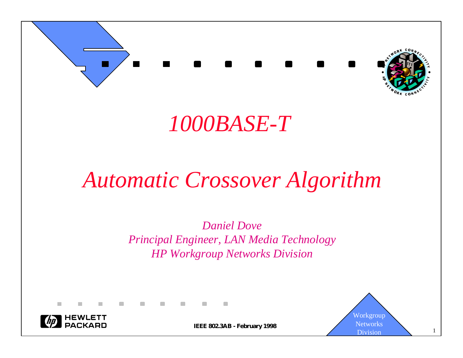

## *1000BASE-T*

## *Automatic Crossover Algorithm*

*Daniel Dove Principal Engineer, LAN Media Technology HP Workgroup Networks Division*



 $\blacksquare$ 

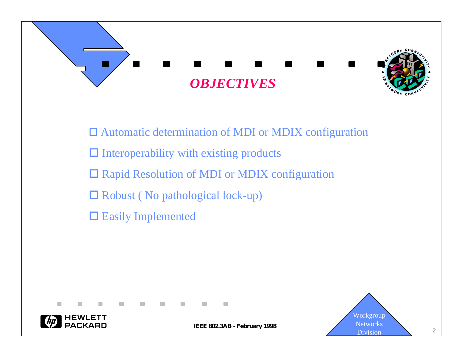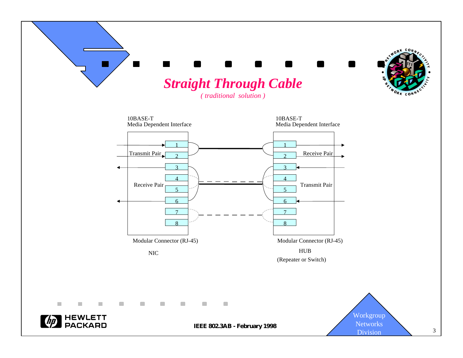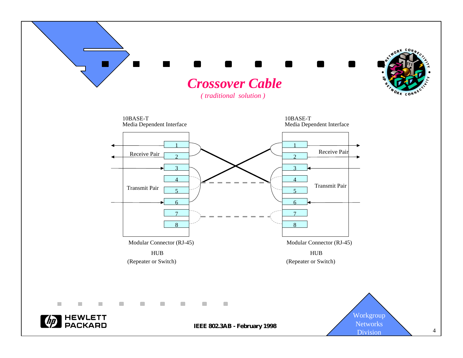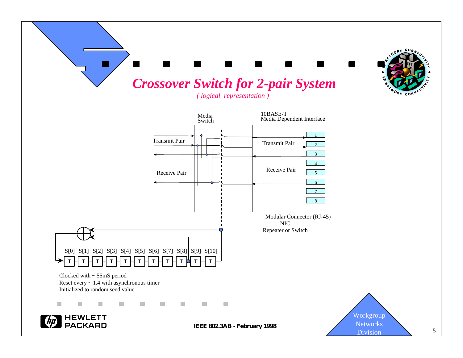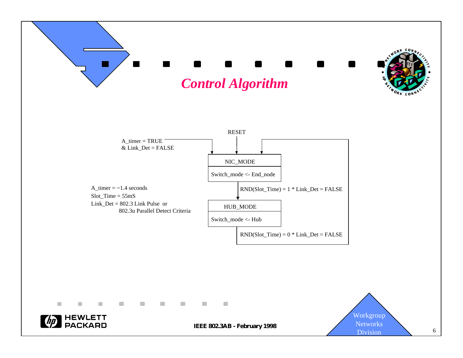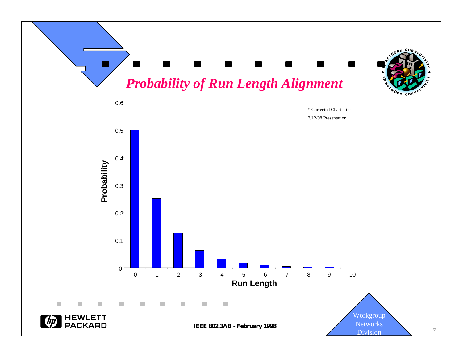